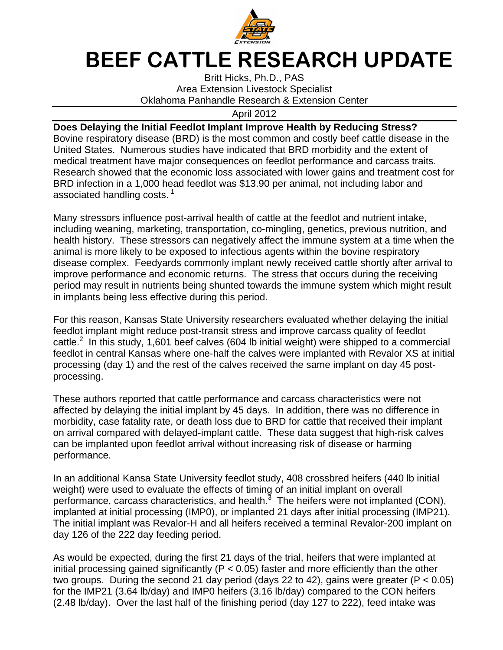

## BEEF CATTLE RESEARCH UPDATE

Britt Hicks, Ph.D., PAS Area Extension Livestock Specialist Oklahoma Panhandle Research & Extension Center

April 2012

## **Does Delaying the Initial Feedlot Implant Improve Health by Reducing Stress?**

Bovine respiratory disease (BRD) is the most common and costly beef cattle disease in the United States. Numerous studies have indicated that BRD morbidity and the extent of medical treatment have major consequences on feedlot performance and carcass traits. Research showed that the economic loss associated with lower gains and treatment cost for BRD infection in a 1,000 head feedlot was \$13.90 per animal, not including labor and associated handling costs.  $1$ 

Many stressors influence post-arrival health of cattle at the feedlot and nutrient intake, including weaning, marketing, transportation, co-mingling, genetics, previous nutrition, and health history. These stressors can negatively affect the immune system at a time when the animal is more likely to be exposed to infectious agents within the bovine respiratory disease complex. Feedyards commonly implant newly received cattle shortly after arrival to improve performance and economic returns. The stress that occurs during the receiving period may result in nutrients being shunted towards the immune system which might result in implants being less effective during this period.

For this reason, Kansas State University researchers evaluated whether delaying the initial feedlot implant might reduce post-transit stress and improve carcass quality of feedlot cattle. $2$  In this study, 1,601 beef calves (604 lb initial weight) were shipped to a commercial feedlot in central Kansas where one-half the calves were implanted with Revalor XS at initial processing (day 1) and the rest of the calves received the same implant on day 45 postprocessing.

These authors reported that cattle performance and carcass characteristics were not affected by delaying the initial implant by 45 days. In addition, there was no difference in morbidity, case fatality rate, or death loss due to BRD for cattle that received their implant on arrival compared with delayed-implant cattle. These data suggest that high-risk calves can be implanted upon feedlot arrival without increasing risk of disease or harming performance.

In an additional Kansa State University feedlot study, 408 crossbred heifers (440 lb initial weight) were used to evaluate the effects of timing of an initial implant on overall performance, carcass characteristics, and health. $3$  The heifers were not implanted (CON), implanted at initial processing (IMP0), or implanted 21 days after initial processing (IMP21). The initial implant was Revalor-H and all heifers received a terminal Revalor-200 implant on day 126 of the 222 day feeding period.

As would be expected, during the first 21 days of the trial, heifers that were implanted at initial processing gained significantly ( $P < 0.05$ ) faster and more efficiently than the other two groups. During the second 21 day period (days 22 to 42), gains were greater ( $P < 0.05$ ) for the IMP21 (3.64 lb/day) and IMP0 heifers (3.16 lb/day) compared to the CON heifers (2.48 lb/day). Over the last half of the finishing period (day 127 to 222), feed intake was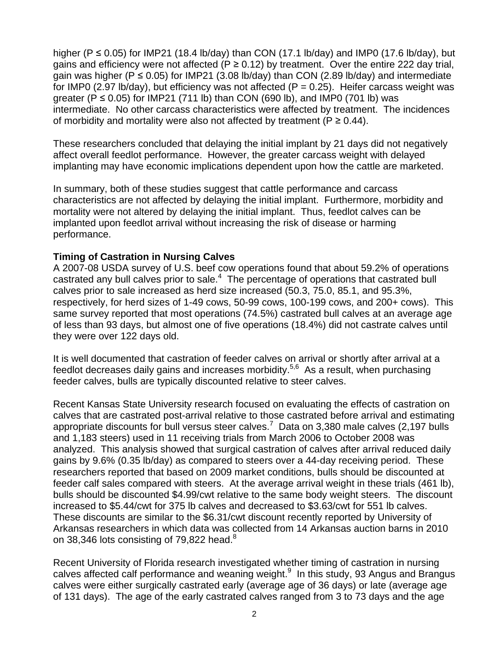higher (P  $\leq$  0.05) for IMP21 (18.4 lb/day) than CON (17.1 lb/day) and IMP0 (17.6 lb/day), but gains and efficiency were not affected ( $P \ge 0.12$ ) by treatment. Over the entire 222 day trial, gain was higher ( $P \le 0.05$ ) for IMP21 (3.08 lb/day) than CON (2.89 lb/day) and intermediate for IMP0 (2.97 lb/day), but efficiency was not affected ( $P = 0.25$ ). Heifer carcass weight was greater (P  $\leq$  0.05) for IMP21 (711 lb) than CON (690 lb), and IMP0 (701 lb) was intermediate. No other carcass characteristics were affected by treatment. The incidences of morbidity and mortality were also not affected by treatment ( $P \ge 0.44$ ).

These researchers concluded that delaying the initial implant by 21 days did not negatively affect overall feedlot performance. However, the greater carcass weight with delayed implanting may have economic implications dependent upon how the cattle are marketed.

In summary, both of these studies suggest that cattle performance and carcass characteristics are not affected by delaying the initial implant. Furthermore, morbidity and mortality were not altered by delaying the initial implant. Thus, feedlot calves can be implanted upon feedlot arrival without increasing the risk of disease or harming performance.

## **Timing of Castration in Nursing Calves**

A 2007-08 USDA survey of U.S. beef cow operations found that about 59.2% of operations castrated any bull calves prior to sale.<sup>4</sup> The percentage of operations that castrated bull calves prior to sale increased as herd size increased (50.3, 75.0, 85.1, and 95.3%, respectively, for herd sizes of 1-49 cows, 50-99 cows, 100-199 cows, and 200+ cows). This same survey reported that most operations (74.5%) castrated bull calves at an average age of less than 93 days, but almost one of five operations (18.4%) did not castrate calves until they were over 122 days old.

It is well documented that castration of feeder calves on arrival or shortly after arrival at a feedlot decreases daily gains and increases morbidity.<sup>5,6</sup> As a result, when purchasing feeder calves, bulls are typically discounted relative to steer calves.

Recent Kansas State University research focused on evaluating the effects of castration on calves that are castrated post-arrival relative to those castrated before arrival and estimating appropriate discounts for bull versus steer calves.<sup>7</sup> Data on 3,380 male calves (2,197 bulls and 1,183 steers) used in 11 receiving trials from March 2006 to October 2008 was analyzed. This analysis showed that surgical castration of calves after arrival reduced daily gains by 9.6% (0.35 lb/day) as compared to steers over a 44-day receiving period. These researchers reported that based on 2009 market conditions, bulls should be discounted at feeder calf sales compared with steers. At the average arrival weight in these trials (461 lb), bulls should be discounted \$4.99/cwt relative to the same body weight steers. The discount increased to \$5.44/cwt for 375 lb calves and decreased to \$3.63/cwt for 551 lb calves. These discounts are similar to the \$6.31/cwt discount recently reported by University of Arkansas researchers in which data was collected from 14 Arkansas auction barns in 2010 on 38,346 lots consisting of 79,822 head. $8^{\circ}$ 

Recent University of Florida research investigated whether timing of castration in nursing calves affected calf performance and weaning weight. $9$  In this study, 93 Angus and Brangus calves were either surgically castrated early (average age of 36 days) or late (average age of 131 days). The age of the early castrated calves ranged from 3 to 73 days and the age